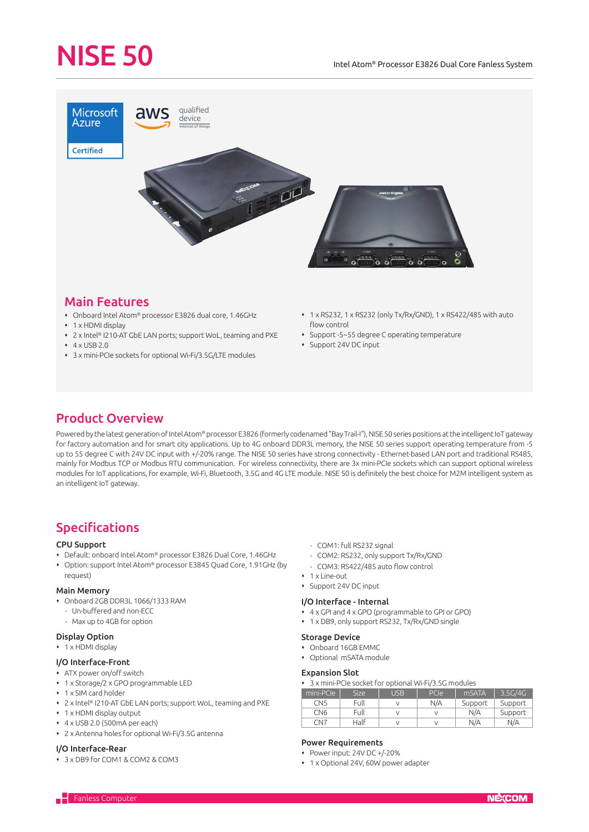# NISE 50



# Main Features

- Onboard Intel Atom® processor E3826 dual core, 1.46GHz
- 1 x HDMI display
- 2 x Intel® I210-AT GbE LAN ports; support WoL, teaming and PXE
- $4 \times$  USB 2.0
- 3 x mini-PCIe sockets for optional Wi-Fi/3.5G/LTE modules
- 1 x RS232, 1 x RS232 (only Tx/Rx/GND), 1 x RS422/485 with auto flow control
- Support -5~55 degree C operating temperature
- Support 24V DC input

# Product Overview

Powered by the latest generation of Intel Atom® processor E3826 (formerly codenamed "Bay Trail-I"), NISE 50 series positions at the intelligent IoT gateway for factory automation and for smart city applications. Up to 4G onboard DDR3L memory, the NISE 50 series support operating temperature from -5 up to 55 degree C with 24V DC input with +/-20% range. The NISE 50 series have strong connectivity - Ethernet-based LAN port and traditional RS485, mainly for Modbus TCP or Modbus RTU communication. For wireless connectivity, there are 3x mini-PCIe sockets which can support optional wireless modules for IoT applications, for example, Wi-Fi, Bluetooth, 3.5G and 4G LTE module. NISE 50 is definitely the best choice for M2M intelligent system as an intelligent IoT gateway.

# Specifications

# CPU Support

- Default: onboard Intel Atom® processor E3826 Dual Core, 1.46GHz
- Option: support Intel Atom® processor E3845 Quad Core, 1.91GHz (by request)

# Main Memory

- Onboard 2GB DDR3L 1066/1333 RAM
	- Un-buffered and non-ECC
	- Max up to 4GB for option

# Display Option

• 1 x HDMI display

# I/O Interface-Front

- ATX power on/off switch
- 1 x Storage/2 x GPO programmable LED
- 1 x SIM card holder
- 2 x Intel® I210-AT GbE LAN ports; support WoL, teaming and PXE
- 1 x HDMI display output
- 4 x USB 2.0 (500mA per each)
- 2 x Antenna holes for optional Wi-Fi/3.5G antenna

#### I/O Interface-Rear

3 x DB9 for COM1 & COM2 & COM3

- COM1: full RS232 signal
- COM2: RS232, only support Tx/Rx/GND
- COM3: RS422/485 auto flow control
- 1 x Line-out
- Support 24V DC input

### I/O Interface - Internal

- 4 x GPI and 4 x GPO (programmable to GPI or GPO)
- 1 x DB9, only support RS232, Tx/Rx/GND single

#### Storage Device

- Onboard 16GB EMMC
- Optional mSATA module

# Expansion Slot

3 x mini-PCIe socket for optional Wi-Fi/3.5G modules

| mini-PCIe       | <b>Size</b> | USB | PCIe | mSATA   | 3.5G/4G |
|-----------------|-------------|-----|------|---------|---------|
| CN <sub>5</sub> | Full        |     | N/A  | Support | Support |
| CN <sub>6</sub> | Full        |     |      | N/A     | Support |
| CN7             | Half        |     |      | N/A     | N/A     |

# Power Requirements

- Power input: 24V DC +/-20%
- 1 x Optional 24V, 60W power adapter